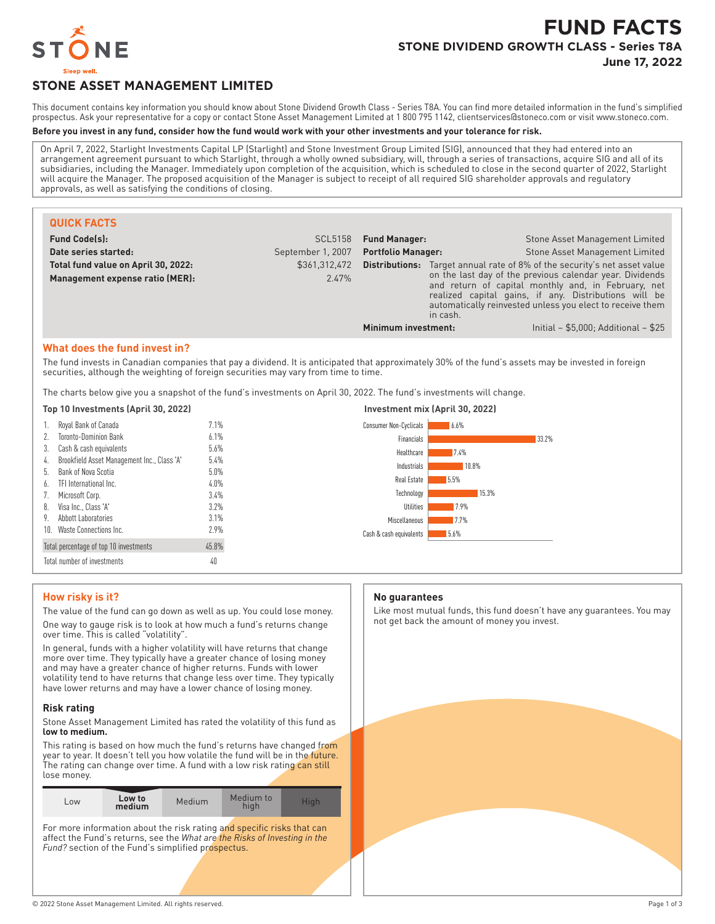

# **FUND FACTS STONE DIVIDEND GROWTH CLASS - Series T8A June 17, 2022**

# **STONE ASSET MANAGEMENT LIMITED**

This document contains key information you should know about Stone Dividend Growth Class - Series T8A. You can find more detailed information in the fund's simplified prospectus. Ask your representative for a copy or contact Stone Asset Management Limited at 1 800 795 1142, clientservices@stoneco.com or visit www.stoneco.com.

# **Before you invest in any fund, consider how the fund would work with your other investments and your tolerance for risk.**

On April 7, 2022, Starlight Investments Capital LP (Starlight) and Stone Investment Group Limited (SIG), announced that they had entered into an arrangement agreement pursuant to which Starlight, through a wholly owned subsidiary, will, through a series of transactions, acquire SIG and all of its subsidiaries, including the Manager. Immediately upon completion of the acquisition, which is scheduled to close in the second quarter of 2022, Starlight will acquire the Manager. The proposed acquisition of the Manager is subject to receipt of all required SIG shareholder approvals and regulatory approvals, as well as satisfying the conditions of closing.

| <b>QUICK FACTS</b>                                                     |                        |                           |          |                                                                                                                                                                                                                                                                                                                           |
|------------------------------------------------------------------------|------------------------|---------------------------|----------|---------------------------------------------------------------------------------------------------------------------------------------------------------------------------------------------------------------------------------------------------------------------------------------------------------------------------|
| <b>Fund Code(s):</b>                                                   | <b>SCL5158</b>         | <b>Fund Manager:</b>      |          | Stone Asset Management Limited                                                                                                                                                                                                                                                                                            |
| Date series started:                                                   | September 1, 2007      | <b>Portfolio Manager:</b> |          | Stone Asset Management Limited                                                                                                                                                                                                                                                                                            |
| Total fund value on April 30, 2022:<br>Management expense ratio (MER): | \$361,312,472<br>2.47% |                           | in cash. | <b>Distributions:</b> Target annual rate of 8% of the security's net asset value<br>on the last day of the previous calendar year. Dividends<br>and return of capital monthly and, in February, net<br>realized capital gains, if any. Distributions will be<br>automatically reinvested unless you elect to receive them |
|                                                                        |                        | Minimum investment:       |          | Initial - $$5,000$ ; Additional - $$25$                                                                                                                                                                                                                                                                                   |

# **What does the fund invest in?**

The fund invests in Canadian companies that pay a dividend. It is anticipated that approximately 30% of the fund's assets may be invested in foreign securities, although the weighting of foreign securities may vary from time to time.

The charts below give you a snapshot of the fund's investments on April 30, 2022. The fund's investments will change.

| Top 10 Investments (April 30, 2022)               |       | Investment mix (April 30, 2022) |
|---------------------------------------------------|-------|---------------------------------|
| 1. Royal Bank of Canada                           | 7.1%  | Consumer Non-Cyclicals<br>6.6%  |
| <b>Toronto-Dominion Bank</b>                      | 6.1%  | 33.2%<br>Financials             |
| Cash & cash equivalents<br>3.                     | 5.6%  | Healthcare<br>7.4%              |
| Brookfield Asset Management Inc., Class 'A'<br>4. | 5.4%  | 10.8%<br>Industrials            |
| Bank of Nova Scotia<br>b.                         | 5.0%  |                                 |
| TFI International Inc.<br>6.                      | 4.0%  | Real Estate<br>5.5%             |
| Microsoft Corp.                                   | 3.4%  | 15.3%<br>Technology             |
| Visa Inc., Class 'A'<br>8.                        | 3.2%  | Utilities<br>17.9%              |
| Abbott Laboratories<br>9.                         | 3.1%  | 7.7%<br>Miscellaneous           |
| 10. Waste Connections Inc.                        | 2.9%  | 5.6%<br>Cash & cash equivalents |
| Total percentage of top 10 investments            | 45.8% |                                 |
| Total number of investments                       | 40    |                                 |

# **How risky is it?**

The value of the fund can go down as well as up. You could lose money. One way to gauge risk is to look at how much a fund's returns change over time. This is called "volatility".

In general, funds with a higher volatility will have returns that change more over time. They typically have a greater chance of losing money and may have a greater chance of higher returns. Funds with lower volatility tend to have returns that change less over time. They typically have lower returns and may have a lower chance of losing money.

#### **Risk rating**

Stone Asset Management Limited has rated the volatility of this fund as **low to medium.**

This rating is based on how much the fund's returns have changed from year to year. It doesn't tell you how volatile the fund will be in the future. The rating can change over time. A fund with a low risk rating can still lose money.

| Low to<br>$-0W$<br>medium | Medium | Medium to<br>nıar |  |
|---------------------------|--------|-------------------|--|
|---------------------------|--------|-------------------|--|

For more information about the risk rating and specific risks that can affect the Fund's returns, see the *What are the Risks of Investing in the* Fund? section of the Fund's simplified prospectus.

#### **No guarantees**

Like most mutual funds, this fund doesn't have any guarantees. You may not get back the amount of money you invest.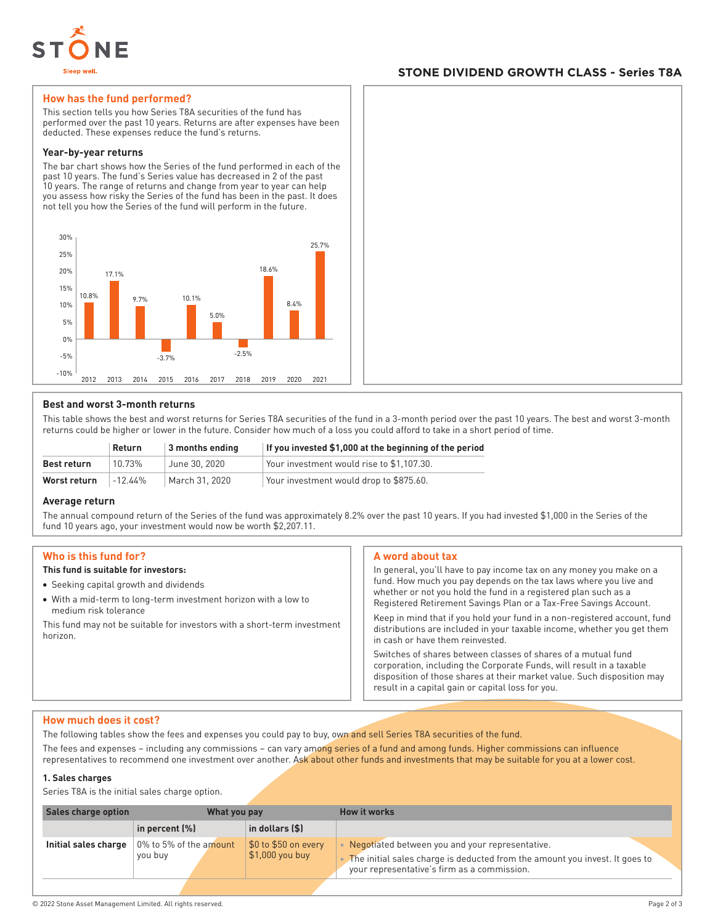

# **STONE DIVIDEND GROWTH CLASS - Series T8A**

### **How has the fund performed?**

This section tells you how Series T8A securities of the fund has performed over the past 10 years. Returns are after expenses have been deducted. These expenses reduce the fund's returns.

#### **Year-by-year returns**

The bar chart shows how the Series of the fund performed in each of the past 10 years. The fund's Series value has decreased in 2 of the past 10 years. The range of returns and change from year to year can help you assess how risky the Series of the fund has been in the past. It does not tell you how the Series of the fund will perform in the future.



# **Best and worst 3-month returns**

This table shows the best and worst returns for Series T8A securities of the fund in a 3-month period over the past 10 years. The best and worst 3-month returns could be higher or lower in the future. Consider how much of a loss you could afford to take in a short period of time.

|              | Return     | 3 months ending | If you invested \$1,000 at the beginning of the period |
|--------------|------------|-----------------|--------------------------------------------------------|
| Best return  | 10.73%     | June 30, 2020   | Your investment would rise to \$1.107.30.              |
| Worst return | $-12.44\%$ | March 31, 2020  | Your investment would drop to \$875.60.                |

#### **Average return**

The annual compound return of the Series of the fund was approximately 8.2% over the past 10 years. If you had invested \$1,000 in the Series of the fund 10 years ago, your investment would now be worth \$2,207.11.

#### **Who is this fund for?**

# **This fund is suitable for investors:**

- Seeking capital growth and dividends
- With a mid-term to long-term investment horizon with a low to medium risk tolerance

This fund may not be suitable for investors with a short-term investment horizon.

#### **A word about tax**

In general, you'll have to pay income tax on any money you make on a fund. How much you pay depends on the tax laws where you live and whether or not you hold the fund in a registered plan such as a Registered Retirement Savings Plan or a Tax-Free Savings Account.

Keep in mind that if you hold your fund in a non-registered account, fund distributions are included in your taxable income, whether you get them in cash or have them reinvested.

Switches of shares between classes of shares of a mutual fund corporation, including the Corporate Funds, will result in a taxable disposition of those shares at their market value. Such disposition may result in a capital gain or capital loss for you.

#### **How much does it cost?**

The following tables show the fees and expenses you could pay to buy, own and sell Series T8A securities of the fund.

The fees and expenses – including any commissions – can vary among series of a fund and among funds. Higher commissions can influence representatives to recommend one investment over another. Ask about other funds and investments that may be suitable for you at a lower cost.

#### **1. Sales charges**

Series T8A is the initial sales charge option.

| Sales charge option  | What you pay                      |                                                     | <b>How it works</b>                                                                                                                                                           |
|----------------------|-----------------------------------|-----------------------------------------------------|-------------------------------------------------------------------------------------------------------------------------------------------------------------------------------|
|                      | in percent $(\%)$                 | $\vert$ in dollars (\$)                             |                                                                                                                                                                               |
| Initial sales charge | 0% to 5% of the amount<br>you buy | \$0 to \$50 on every<br>$\frac{1}{2}$ 1,000 you buy | Negotiated between you and your representative.<br>The initial sales charge is deducted from the amount you invest. It goes to<br>your representative's firm as a commission. |